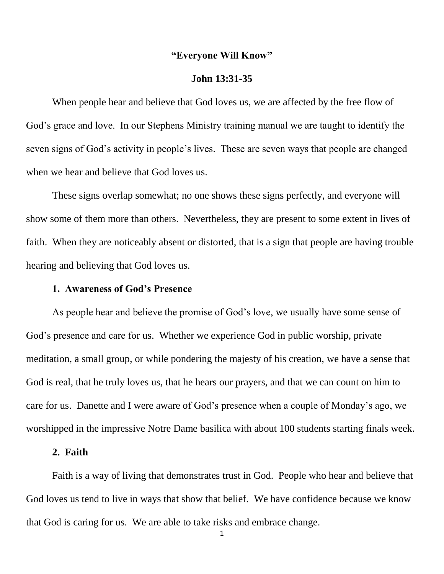## **"Everyone Will Know"**

#### **John 13:31-35**

When people hear and believe that God loves us, we are affected by the free flow of God's grace and love. In our Stephens Ministry training manual we are taught to identify the seven signs of God's activity in people's lives. These are seven ways that people are changed when we hear and believe that God loves us.

These signs overlap somewhat; no one shows these signs perfectly, and everyone will show some of them more than others. Nevertheless, they are present to some extent in lives of faith. When they are noticeably absent or distorted, that is a sign that people are having trouble hearing and believing that God loves us.

#### **1. Awareness of God's Presence**

As people hear and believe the promise of God's love, we usually have some sense of God's presence and care for us. Whether we experience God in public worship, private meditation, a small group, or while pondering the majesty of his creation, we have a sense that God is real, that he truly loves us, that he hears our prayers, and that we can count on him to care for us. Danette and I were aware of God's presence when a couple of Monday's ago, we worshipped in the impressive Notre Dame basilica with about 100 students starting finals week.

## **2. Faith**

Faith is a way of living that demonstrates trust in God. People who hear and believe that God loves us tend to live in ways that show that belief. We have confidence because we know that God is caring for us. We are able to take risks and embrace change.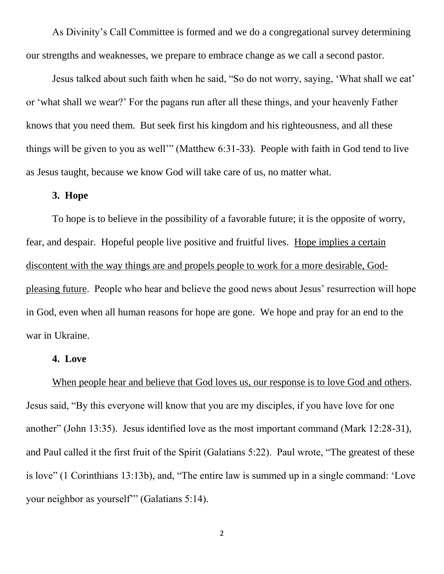As Divinity's Call Committee is formed and we do a congregational survey determining our strengths and weaknesses, we prepare to embrace change as we call a second pastor.

Jesus talked about such faith when he said, "So do not worry, saying, 'What shall we eat' or 'what shall we wear?' For the pagans run after all these things, and your heavenly Father knows that you need them. But seek first his kingdom and his righteousness, and all these things will be given to you as well'" (Matthew 6:31-33). People with faith in God tend to live as Jesus taught, because we know God will take care of us, no matter what.

## **3. Hope**

To hope is to believe in the possibility of a favorable future; it is the opposite of worry, fear, and despair. Hopeful people live positive and fruitful lives. Hope implies a certain discontent with the way things are and propels people to work for a more desirable, Godpleasing future. People who hear and believe the good news about Jesus' resurrection will hope in God, even when all human reasons for hope are gone. We hope and pray for an end to the war in Ukraine.

## **4. Love**

# When people hear and believe that God loves us, our response is to love God and others. Jesus said, "By this everyone will know that you are my disciples, if you have love for one another" (John 13:35). Jesus identified love as the most important command (Mark 12:28-31), and Paul called it the first fruit of the Spirit (Galatians 5:22). Paul wrote, "The greatest of these is love" (1 Corinthians 13:13b), and, "The entire law is summed up in a single command: 'Love your neighbor as yourself'" (Galatians 5:14).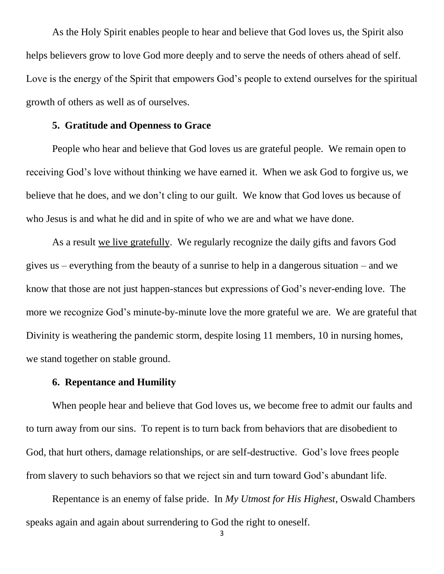As the Holy Spirit enables people to hear and believe that God loves us, the Spirit also helps believers grow to love God more deeply and to serve the needs of others ahead of self. Love is the energy of the Spirit that empowers God's people to extend ourselves for the spiritual growth of others as well as of ourselves.

# **5. Gratitude and Openness to Grace**

People who hear and believe that God loves us are grateful people. We remain open to receiving God's love without thinking we have earned it. When we ask God to forgive us, we believe that he does, and we don't cling to our guilt. We know that God loves us because of who Jesus is and what he did and in spite of who we are and what we have done.

As a result we live gratefully. We regularly recognize the daily gifts and favors God gives us – everything from the beauty of a sunrise to help in a dangerous situation – and we know that those are not just happen-stances but expressions of God's never-ending love. The more we recognize God's minute-by-minute love the more grateful we are. We are grateful that Divinity is weathering the pandemic storm, despite losing 11 members, 10 in nursing homes, we stand together on stable ground.

#### **6. Repentance and Humility**

When people hear and believe that God loves us, we become free to admit our faults and to turn away from our sins. To repent is to turn back from behaviors that are disobedient to God, that hurt others, damage relationships, or are self-destructive. God's love frees people from slavery to such behaviors so that we reject sin and turn toward God's abundant life.

Repentance is an enemy of false pride. In *My Utmost for His Highest*, Oswald Chambers speaks again and again about surrendering to God the right to oneself.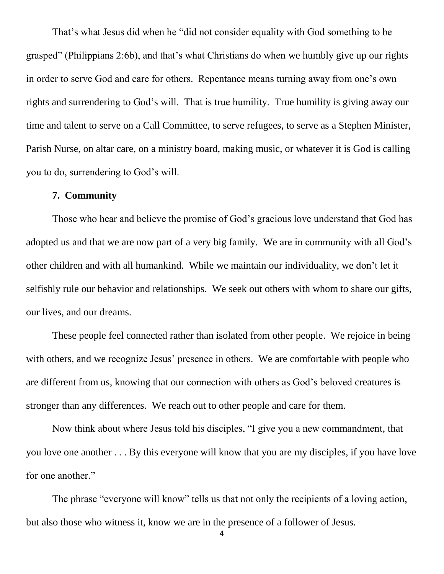That's what Jesus did when he "did not consider equality with God something to be grasped" (Philippians 2:6b), and that's what Christians do when we humbly give up our rights in order to serve God and care for others. Repentance means turning away from one's own rights and surrendering to God's will. That is true humility. True humility is giving away our time and talent to serve on a Call Committee, to serve refugees, to serve as a Stephen Minister, Parish Nurse, on altar care, on a ministry board, making music, or whatever it is God is calling you to do, surrendering to God's will.

## **7. Community**

Those who hear and believe the promise of God's gracious love understand that God has adopted us and that we are now part of a very big family. We are in community with all God's other children and with all humankind. While we maintain our individuality, we don't let it selfishly rule our behavior and relationships. We seek out others with whom to share our gifts, our lives, and our dreams.

These people feel connected rather than isolated from other people. We rejoice in being with others, and we recognize Jesus' presence in others. We are comfortable with people who are different from us, knowing that our connection with others as God's beloved creatures is stronger than any differences. We reach out to other people and care for them.

Now think about where Jesus told his disciples, "I give you a new commandment, that you love one another . . . By this everyone will know that you are my disciples, if you have love for one another."

The phrase "everyone will know" tells us that not only the recipients of a loving action, but also those who witness it, know we are in the presence of a follower of Jesus.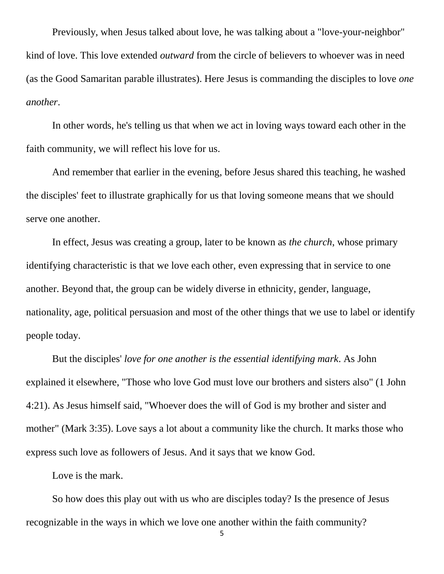Previously, when Jesus talked about love, he was talking about a "love-your-neighbor" kind of love. This love extended *outward* from the circle of believers to whoever was in need (as the Good Samaritan parable illustrates). Here Jesus is commanding the disciples to love *one another*.

In other words, he's telling us that when we act in loving ways toward each other in the faith community, we will reflect his love for us.

And remember that earlier in the evening, before Jesus shared this teaching, he washed the disciples' feet to illustrate graphically for us that loving someone means that we should serve one another.

In effect, Jesus was creating a group, later to be known as *the church*, whose primary identifying characteristic is that we love each other, even expressing that in service to one another. Beyond that, the group can be widely diverse in ethnicity, gender, language, nationality, age, political persuasion and most of the other things that we use to label or identify people today.

But the disciples' *love for one another is the essential identifying mark*. As John explained it elsewhere, "Those who love God must love our brothers and sisters also" (1 John 4:21). As Jesus himself said, "Whoever does the will of God is my brother and sister and mother" (Mark 3:35). Love says a lot about a community like the church. It marks those who express such love as followers of Jesus. And it says that we know God.

Love is the mark.

So how does this play out with us who are disciples today? Is the presence of Jesus recognizable in the ways in which we love one another within the faith community?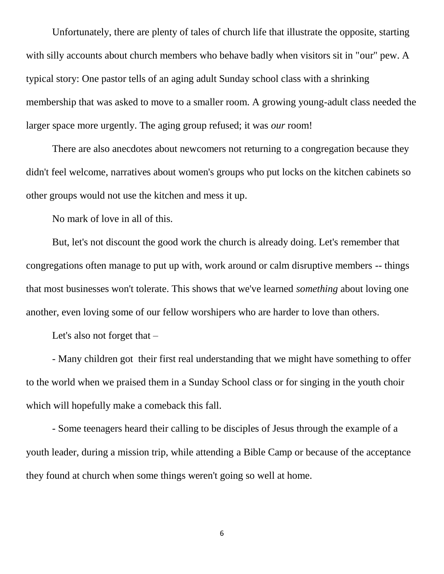Unfortunately, there are plenty of tales of church life that illustrate the opposite, starting with silly accounts about church members who behave badly when visitors sit in "our" pew. A typical story: One pastor tells of an aging adult Sunday school class with a shrinking membership that was asked to move to a smaller room. A growing young-adult class needed the larger space more urgently. The aging group refused; it was *our* room!

There are also anecdotes about newcomers not returning to a congregation because they didn't feel welcome, narratives about women's groups who put locks on the kitchen cabinets so other groups would not use the kitchen and mess it up.

No mark of love in all of this.

But, let's not discount the good work the church is already doing. Let's remember that congregations often manage to put up with, work around or calm disruptive members -- things that most businesses won't tolerate. This shows that we've learned *something* about loving one another, even loving some of our fellow worshipers who are harder to love than others.

Let's also not forget that –

- Many children got their first real understanding that we might have something to offer to the world when we praised them in a Sunday School class or for singing in the youth choir which will hopefully make a comeback this fall.

- Some teenagers heard their calling to be disciples of Jesus through the example of a youth leader, during a mission trip, while attending a Bible Camp or because of the acceptance they found at church when some things weren't going so well at home.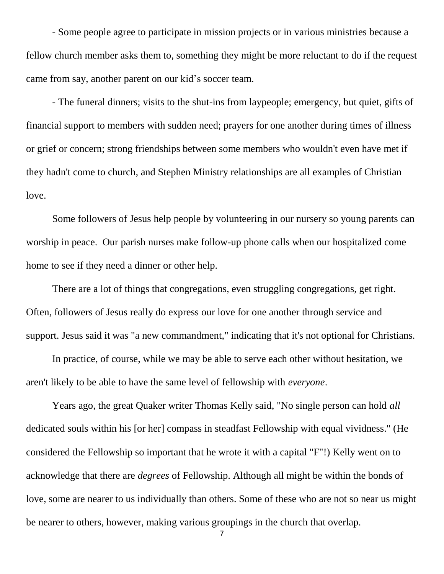- Some people agree to participate in mission projects or in various ministries because a fellow church member asks them to, something they might be more reluctant to do if the request came from say, another parent on our kid's soccer team.

- The funeral dinners; visits to the shut-ins from laypeople; emergency, but quiet, gifts of financial support to members with sudden need; prayers for one another during times of illness or grief or concern; strong friendships between some members who wouldn't even have met if they hadn't come to church, and Stephen Ministry relationships are all examples of Christian love.

Some followers of Jesus help people by volunteering in our nursery so young parents can worship in peace. Our parish nurses make follow-up phone calls when our hospitalized come home to see if they need a dinner or other help.

There are a lot of things that congregations, even struggling congregations, get right. Often, followers of Jesus really do express our love for one another through service and support. Jesus said it was "a new commandment," indicating that it's not optional for Christians.

In practice, of course, while we may be able to serve each other without hesitation, we aren't likely to be able to have the same level of fellowship with *everyone*.

Years ago, the great Quaker writer Thomas Kelly said, "No single person can hold *all* dedicated souls within his [or her] compass in steadfast Fellowship with equal vividness." (He considered the Fellowship so important that he wrote it with a capital "F"!) Kelly went on to acknowledge that there are *degrees* of Fellowship. Although all might be within the bonds of love, some are nearer to us individually than others. Some of these who are not so near us might be nearer to others, however, making various groupings in the church that overlap.